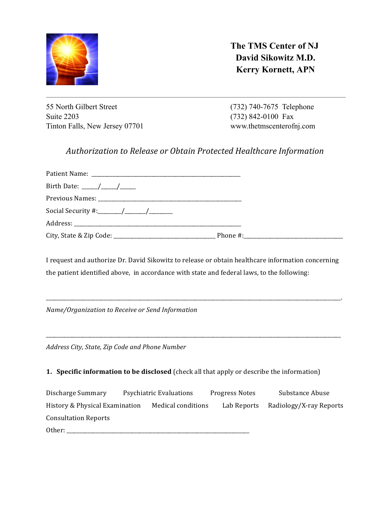

**The TMS Center of NJ David Sikowitz M.D. Kerry Kornett, APN**

55 North Gilbert Street Suite 2203 Tinton Falls, New Jersey 07701 (732) 740-7675 Telephone (732) 842-0100 Fax www.thetmscenterofnj.com

## Authorization to Release or Obtain Protected Healthcare Information

I request and authorize Dr. David Sikowitz to release or obtain healthcare information concerning the patient identified above, in accordance with state and federal laws, to the following:

\_\_\_\_\_\_\_\_\_\_\_\_\_\_\_\_\_\_\_\_\_\_\_\_\_\_\_\_\_\_\_\_\_\_\_\_\_\_\_\_\_\_\_\_\_\_\_\_\_\_\_\_\_\_\_\_\_\_\_\_\_\_\_\_\_\_\_\_\_\_\_\_\_\_\_\_\_\_\_\_\_\_\_\_\_\_\_\_\_\_\_\_\_\_\_\_\_\_\_\_\_\_\_\_\_\_\_\_\_\_\_\_\_. 

\_\_\_\_\_\_\_\_\_\_\_\_\_\_\_\_\_\_\_\_\_\_\_\_\_\_\_\_\_\_\_\_\_\_\_\_\_\_\_\_\_\_\_\_\_\_\_\_\_\_\_\_\_\_\_\_\_\_\_\_\_\_\_\_\_\_\_\_\_\_\_\_\_\_\_\_\_\_\_\_\_\_\_\_\_\_\_\_\_\_\_\_\_\_\_\_\_\_\_\_\_\_\_\_\_\_\_\_\_\_\_\_\_ 

*Name/Organization to Receive or Send Information* 

Address City, State, Zip Code and Phone Number

## **1. Specific information to be disclosed** (check all that apply or describe the information)

Discharge Summary Psychiatric Evaluations Progress Notes Substance Abuse History & Physical Examination Medical conditions Lab Reports Radiology/X-ray Reports Consultation Reports Other: \_\_\_\_\_\_\_\_\_\_\_\_\_\_\_\_\_\_\_\_\_\_\_\_\_\_\_\_\_\_\_\_\_\_\_\_\_\_\_\_\_\_\_\_\_\_\_\_\_\_\_\_\_\_\_\_\_\_\_\_\_\_\_\_\_\_\_\_\_\_